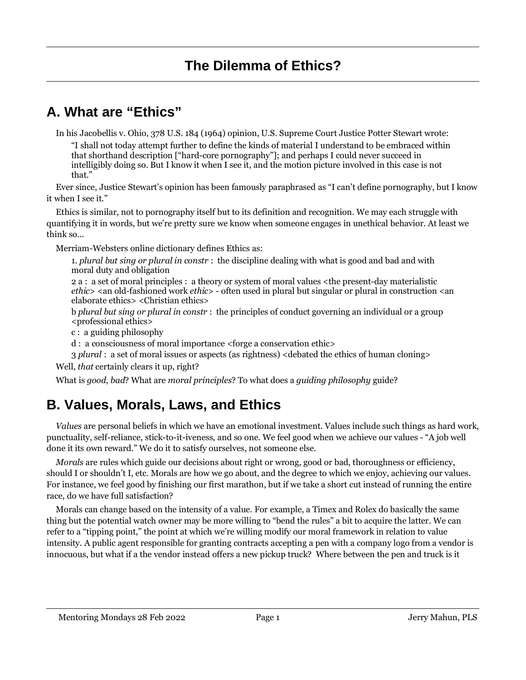## **A. What are "Ethics"**

In his Jacobellis v. Ohio, 378 U.S. 184 (1964) opinion, U.S. Supreme Court Justice Potter Stewart wrote:

"I shall not today attempt further to define the kinds of material I understand to be embraced within that shorthand description ["hard-core pornography"]; and perhaps I could never succeed in intelligibly doing so. But I know it when I see it, and the motion picture involved in this case is not that."

Ever since, Justice Stewart's opinion has been famously paraphrased as "I can't define pornography, but I know it when I see it."

Ethics is similar, not to pornography itself but to its definition and recognition. We may each struggle with quantifying it in words, but we're pretty sure we know when someone engages in unethical behavior. At least we think so...

Merriam-Websters online dictionary defines Ethics as:

1. *plural but sing or plural in constr* : the discipline dealing with what is good and bad and with moral duty and obligation

2 a : a set of moral principles : a theory or system of moral values <the present-day materialistic *ethic*> <an old-fashioned work *ethic*> - often used in plural but singular or plural in construction <an elaborate ethics> <Christian ethics>

b *plural but sing or plural in constr* : the principles of conduct governing an individual or a group <professional ethics>

c : a guiding philosophy

d : a consciousness of moral importance <forge a conservation ethic>

3 *plural* : a set of moral issues or aspects (as rightness) <debated the ethics of human cloning>

Well, *that* certainly clears it up, right?

What is *good*, *bad*? What are *moral principles*? To what does a *guiding philosophy* guide?

# **B. Values, Morals, Laws, and Ethics**

*Values* are personal beliefs in which we have an emotional investment. Values include such things as hard work, punctuality, self-reliance, stick-to-it-iveness, and so one. We feel good when we achieve our values - "A job well done it its own reward." We do it to satisfy ourselves, not someone else.

*Morals* are rules which guide our decisions about right or wrong, good or bad, thoroughness or efficiency, should I or shouldn't I, etc. Morals are how we go about, and the degree to which we enjoy, achieving our values. For instance, we feel good by finishing our first marathon, but if we take a short cut instead of running the entire race, do we have full satisfaction?

Morals can change based on the intensity of a value. For example, a Timex and Rolex do basically the same thing but the potential watch owner may be more willing to "bend the rules" a bit to acquire the latter. We can refer to a "tipping point," the point at which we're willing modify our moral framework in relation to value intensity. A public agent responsible for granting contracts accepting a pen with a company logo from a vendor is innocuous, but what if a the vendor instead offers a new pickup truck? Where between the pen and truck is it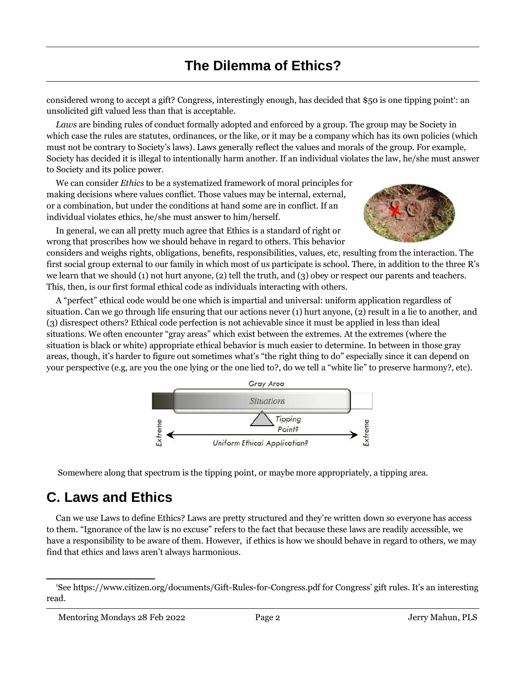considered wrong to accept a gift? Congress, interestingly enough, has decided that \$50 is one tipping point': an unsolicited gift valued less than that is acceptable.

*Laws* are binding rules of conduct formally adopted and enforced by a group. The group may be Society in which case the rules are statutes, ordinances, or the like, or it may be a company which has its own policies (which must not be contrary to Society's laws). Laws generally reflect the values and morals of the group. For example, Society has decided it is illegal to intentionally harm another. If an individual violates the law, he/she must answer to Society and its police power.

We can consider *Ethics* to be a systematized framework of moral principles for making decisions where values conflict. Those values may be internal, external, or a combination, but under the conditions at hand some are in conflict. If an individual violates ethics, he/she must answer to him/herself.

In general, we can all pretty much agree that Ethics is a standard of right or wrong that proscribes how we should behave in regard to others. This behavior



considers and weighs rights, obligations, benefits, responsibilities, values, etc, resulting from the interaction. The first social group external to our family in which most of us participate is school. There, in addition to the three R's we learn that we should (1) not hurt anyone, (2) tell the truth, and (3) obey or respect our parents and teachers. This, then, is our first formal ethical code as individuals interacting with others.

A "perfect" ethical code would be one which is impartial and universal: uniform application regardless of situation. Can we go through life ensuring that our actions never (1) hurt anyone, (2) result in a lie to another, and (3) disrespect others? Ethical code perfection is not achievable since it must be applied in less than ideal situations. We often encounter "gray areas" which exist between the extremes. At the extremes (where the situation is black or white) appropriate ethical behavior is much easier to determine. In between in those gray areas, though, it's harder to figure out sometimes what's "the right thing to do" especially since it can depend on your perspective (e.g, are you the one lying or the one lied to?, do we tell a "white lie" to preserve harmony?, etc).



Somewhere along that spectrum is the tipping point, or maybe more appropriately, a tipping area.

## **C. Laws and Ethics**

Can we use Laws to define Ethics? Laws are pretty structured and they're written down so everyone has access to them. "Ignorance of the law is no excuse" refers to the fact that because these laws are readily accessible, we have a responsibility to be aware of them. However, if ethics is how we should behave in regard to others, we may find that ethics and laws aren't always harmonious.

<sup>1</sup>See https://www.citizen.org/documents/Gift-Rules-for-Congress.pdf for Congress' gift rules. It's an interesting read.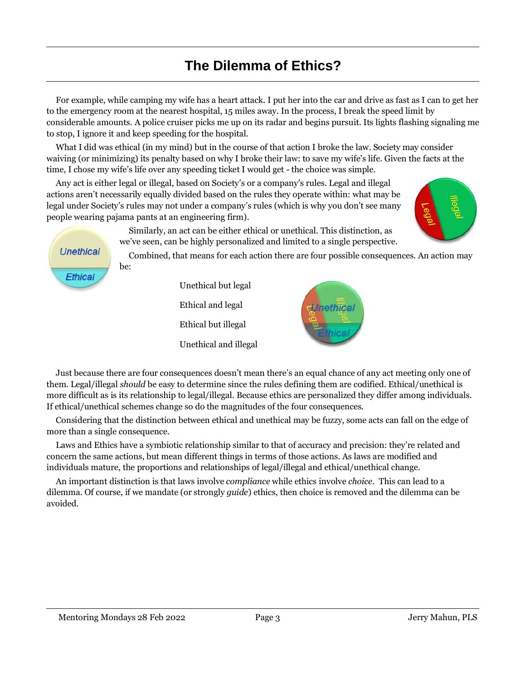For example, while camping my wife has a heart attack. I put her into the car and drive as fast as I can to get her to the emergency room at the nearest hospital, 15 miles away. In the process, I break the speed limit by considerable amounts. A police cruiser picks me up on its radar and begins pursuit. Its lights flashing signaling me to stop, I ignore it and keep speeding for the hospital.

What I did was ethical (in my mind) but in the course of that action I broke the law. Society may consider waiving (or minimizing) its penalty based on why I broke their law: to save my wife's life. Given the facts at the time, I chose my wife's life over any speeding ticket I would get - the choice was simple.

Any act is either legal or illegal, based on Society's or a company's rules. Legal and illegal actions aren't necessarily equally divided based on the rules they operate within: what may be legal under Society's rules may not under a company's rules (which is why you don't see many people wearing pajama pants at an engineering firm).



Similarly, an act can be either ethical or unethical. This distinction, as we've seen, can be highly personalized and limited to a single perspective.

Combined, that means for each action there are four possible consequences. An action may be:





Just because there are four consequences doesn't mean there's an equal chance of any act meeting only one of them. Legal/illegal *should* be easy to determine since the rules defining them are codified. Ethical/unethical is more difficult as is its relationship to legal/illegal. Because ethics are personalized they differ among individuals. If ethical/unethical schemes change so do the magnitudes of the four consequences.

Considering that the distinction between ethical and unethical may be fuzzy, some acts can fall on the edge of more than a single consequence.

Laws and Ethics have a symbiotic relationship similar to that of accuracy and precision: they're related and concern the same actions, but mean different things in terms of those actions. As laws are modified and individuals mature, the proportions and relationships of legal/illegal and ethical/unethical change.

An important distinction is that laws involve *compliance* while ethics involve *choice*. This can lead to a dilemma. Of course, if we mandate (or strongly *guide*) ethics, then choice is removed and the dilemma can be avoided.

**Unethical** 

Ethical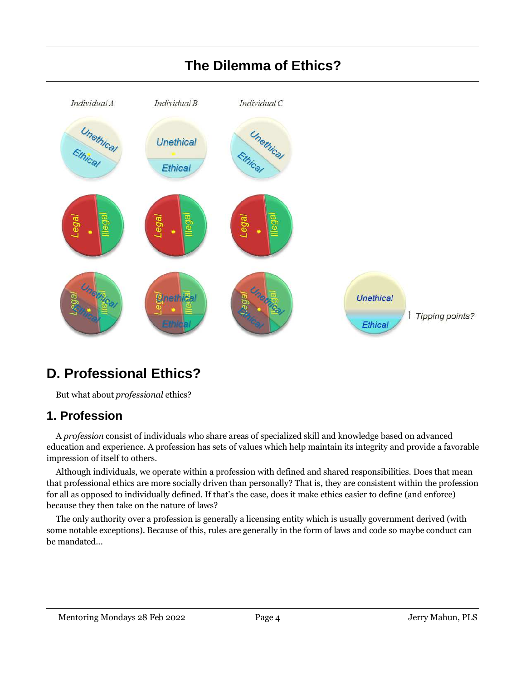

## **D. Professional Ethics?**

But what about *professional* ethics?

#### **1. Profession**

A *profession* consist of individuals who share areas of specialized skill and knowledge based on advanced education and experience. A profession has sets of values which help maintain its integrity and provide a favorable impression of itself to others.

Although individuals, we operate within a profession with defined and shared responsibilities. Does that mean that professional ethics are more socially driven than personally? That is, they are consistent within the profession for all as opposed to individually defined. If that's the case, does it make ethics easier to define (and enforce) because they then take on the nature of laws?

The only authority over a profession is generally a licensing entity which is usually government derived (with some notable exceptions). Because of this, rules are generally in the form of laws and code so maybe conduct can be mandated...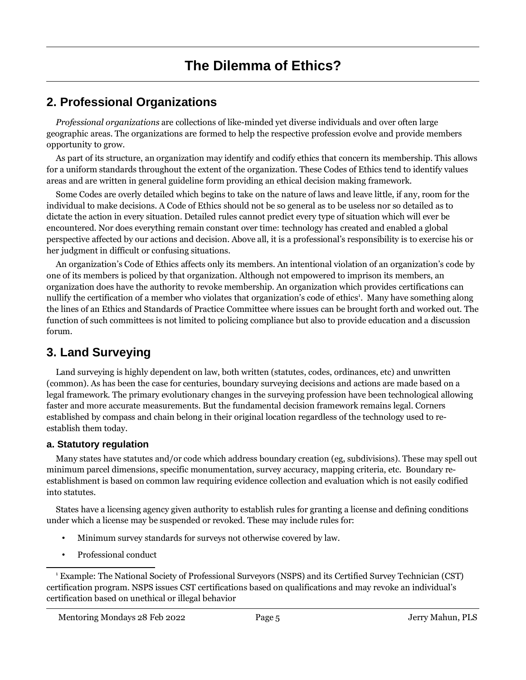#### **2. Professional Organizations**

*Professional organizations* are collections of like-minded yet diverse individuals and over often large geographic areas. The organizations are formed to help the respective profession evolve and provide members opportunity to grow.

As part of its structure, an organization may identify and codify ethics that concern its membership. This allows for a uniform standards throughout the extent of the organization. These Codes of Ethics tend to identify values areas and are written in general guideline form providing an ethical decision making framework.

Some Codes are overly detailed which begins to take on the nature of laws and leave little, if any, room for the individual to make decisions. A Code of Ethics should not be so general as to be useless nor so detailed as to dictate the action in every situation. Detailed rules cannot predict every type of situation which will ever be encountered. Nor does everything remain constant over time: technology has created and enabled a global perspective affected by our actions and decision. Above all, it is a professional's responsibility is to exercise his or her judgment in difficult or confusing situations.

An organization's Code of Ethics affects only its members. An intentional violation of an organization's code by one of its members is policed by that organization. Although not empowered to imprison its members, an organization does have the authority to revoke membership. An organization which provides certifications can nullify the certification of a member who violates that organization's code of ethics<sup>1</sup>. Many have something along the lines of an Ethics and Standards of Practice Committee where issues can be brought forth and worked out. The function of such committees is not limited to policing compliance but also to provide education and a discussion forum.

#### **3. Land Surveying**

Land surveying is highly dependent on law, both written (statutes, codes, ordinances, etc) and unwritten (common). As has been the case for centuries, boundary surveying decisions and actions are made based on a legal framework. The primary evolutionary changes in the surveying profession have been technological allowing faster and more accurate measurements. But the fundamental decision framework remains legal. Corners established by compass and chain belong in their original location regardless of the technology used to reestablish them today.

#### **a. Statutory regulation**

Many states have statutes and/or code which address boundary creation (eg, subdivisions). These may spell out minimum parcel dimensions, specific monumentation, survey accuracy, mapping criteria, etc. Boundary reestablishment is based on common law requiring evidence collection and evaluation which is not easily codified into statutes.

States have a licensing agency given authority to establish rules for granting a license and defining conditions under which a license may be suspended or revoked. These may include rules for:

- Minimum survey standards for surveys not otherwise covered by law.
- Professional conduct

<sup>1</sup> Example: The National Society of Professional Surveyors (NSPS) and its Certified Survey Technician (CST) certification program. NSPS issues CST certifications based on qualifications and may revoke an individual's certification based on unethical or illegal behavior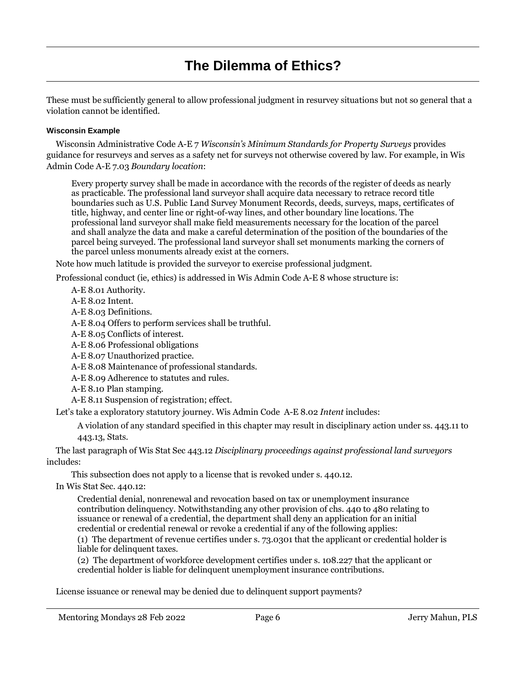These must be sufficiently general to allow professional judgment in resurvey situations but not so general that a violation cannot be identified.

#### **Wisconsin Example**

Wisconsin Administrative Code A-E 7 *Wisconsin's Minimum Standards for Property Surveys* provides guidance for resurveys and serves as a safety net for surveys not otherwise covered by law. For example, in Wis Admin Code A-E 7.03 *Boundary location*:

Every property survey shall be made in accordance with the records of the register of deeds as nearly as practicable. The professional land surveyor shall acquire data necessary to retrace record title boundaries such as U.S. Public Land Survey Monument Records, deeds, surveys, maps, certificates of title, highway, and center line or right-of-way lines, and other boundary line locations. The professional land surveyor shall make field measurements necessary for the location of the parcel and shall analyze the data and make a careful determination of the position of the boundaries of the parcel being surveyed. The professional land surveyor shall set monuments marking the corners of the parcel unless monuments already exist at the corners.

Note how much latitude is provided the surveyor to exercise professional judgment.

Professional conduct (ie, ethics) is addressed in Wis Admin Code A-E 8 whose structure is:

A-E 8.01 Authority.

A-E 8.02 Intent.

A-E 8.03 Definitions.

A-E 8.04 Offers to perform services shall be truthful.

A-E 8.05 Conflicts of interest.

A-E 8.06 Professional obligations

A-E 8.07 Unauthorized practice.

A-E 8.08 Maintenance of professional standards.

A-E 8.09 Adherence to statutes and rules.

- A-E 8.10 Plan stamping.
- A-E 8.11 Suspension of registration; effect.

Let's take a exploratory statutory journey. Wis Admin Code A-E 8.02 *Intent* includes:

A violation of any standard specified in this chapter may result in disciplinary action under ss. 443.11 to 443.13, Stats.

The last paragraph of Wis Stat Sec 443.12 *Disciplinary proceedings against professional land surveyors* includes:

This subsection does not apply to a license that is revoked under s. 440.12.

In Wis Stat Sec. 440.12:

Credential denial, nonrenewal and revocation based on tax or unemployment insurance contribution delinquency. Notwithstanding any other provision of chs. 440 to 480 relating to issuance or renewal of a credential, the department shall deny an application for an initial credential or credential renewal or revoke a credential if any of the following applies:

(1) The department of revenue certifies under s. 73.0301 that the applicant or credential holder is liable for delinquent taxes.

(2) The department of workforce development certifies under s. 108.227 that the applicant or credential holder is liable for delinquent unemployment insurance contributions.

License issuance or renewal may be denied due to delinquent support payments?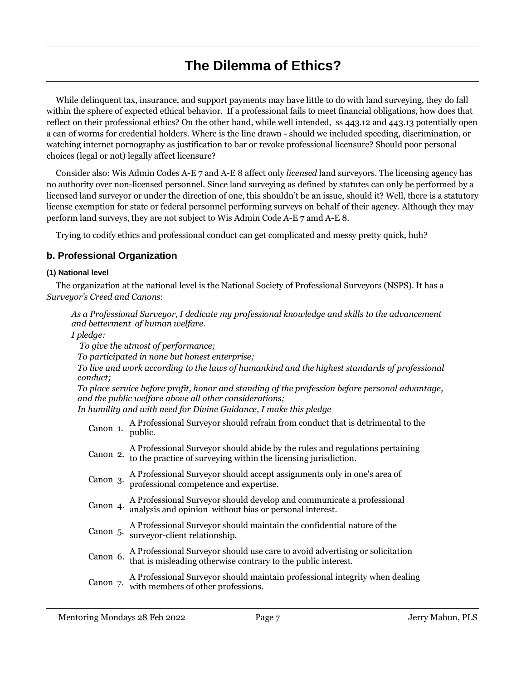While delinquent tax, insurance, and support payments may have little to do with land surveying, they do fall within the sphere of expected ethical behavior. If a professional fails to meet financial obligations, how does that reflect on their professional ethics? On the other hand, while well intended, ss 443.12 and 443.13 potentially open a can of worms for credential holders. Where is the line drawn - should we included speeding, discrimination, or watching internet pornography as justification to bar or revoke professional licensure? Should poor personal choices (legal or not) legally affect licensure?

Consider also: Wis Admin Codes A-E 7 and A-E 8 affect only *licensed* land surveyors. The licensing agency has no authority over non-licensed personnel. Since land surveying as defined by statutes can only be performed by a licensed land surveyor or under the direction of one, this shouldn't be an issue, should it? Well, there is a statutory license exemption for state or federal personnel performing surveys on behalf of their agency. Although they may perform land surveys, they are not subject to Wis Admin Code A-E 7 amd A-E 8.

Trying to codify ethics and professional conduct can get complicated and messy pretty quick, huh?

#### **b. Professional Organization**

#### **(1) National level**

The organization at the national level is the National Society of Professional Surveyors (NSPS). It has a *Surveyor's Creed and Canons*:

*As a Professional Surveyor, I dedicate my professional knowledge and skills to the advancement and betterment of human welfare.*

*I pledge:*

 *To give the utmost of performance;*

*To participated in none but honest enterprise;*

*To live and work according to the laws of humankind and the highest standards of professional conduct;*

*To place service before profit, honor and standing of the profession before personal advantage, and the public welfare above all other considerations;*

*In humility and with need for Divine Guidance, I make this pledge*

Canon 1. A Professional Surveyor should refrain from conduct that is detrimental to the public.

| Canon 2. | A Professional Surveyor should abide by the rules and regulations pertaining<br>to the practice of surveying within the licensing jurisdiction. |
|----------|-------------------------------------------------------------------------------------------------------------------------------------------------|
| Canon 3. | A Professional Surveyor should accept assignments only in one's area of<br>professional competence and expertise.                               |
| Canon 4. | A Professional Surveyor should develop and communicate a professional<br>analysis and opinion without bias or personal interest.                |
| Canon 5. | A Professional Surveyor should maintain the confidential nature of the<br>surveyor-client relationship.                                         |
| Canon 6. | A Professional Surveyor should use care to avoid advertising or solicitation<br>that is misleading otherwise contrary to the public interest.   |
| Canon 7. | A Professional Surveyor should maintain professional integrity when dealing<br>with members of other professions.                               |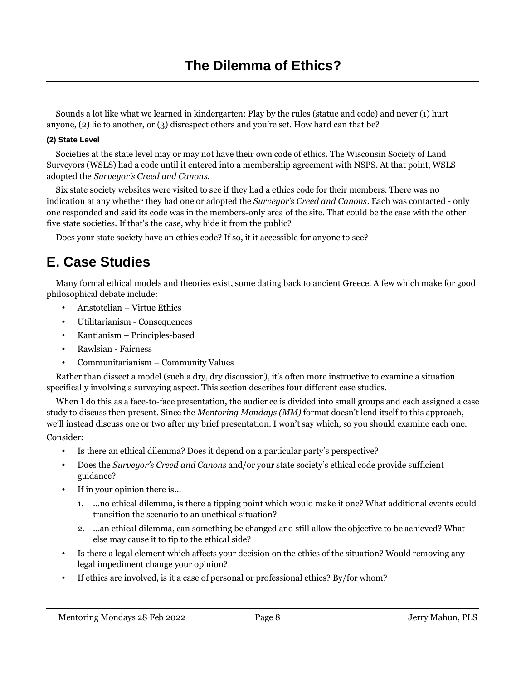Sounds a lot like what we learned in kindergarten: Play by the rules (statue and code) and never (1) hurt anyone, (2) lie to another, or (3) disrespect others and you're set. How hard can that be?

#### **(2) State Level**

Societies at the state level may or may not have their own code of ethics. The Wisconsin Society of Land Surveyors (WSLS) had a code until it entered into a membership agreement with NSPS. At that point, WSLS adopted the *Surveyor's Creed and Canons*.

Six state society websites were visited to see if they had a ethics code for their members. There was no indication at any whether they had one or adopted the *Surveyor's Creed and Canons*. Each was contacted - only one responded and said its code was in the members-only area of the site. That could be the case with the other five state societies. If that's the case, why hide it from the public?

Does your state society have an ethics code? If so, it it accessible for anyone to see?

### **E. Case Studies**

Many formal ethical models and theories exist, some dating back to ancient Greece. A few which make for good philosophical debate include:

- Aristotelian Virtue Ethics
- Utilitarianism Consequences
- Kantianism Principles-based
- Rawlsian Fairness
- Communitarianism Community Values

Rather than dissect a model (such a dry, dry discussion), it's often more instructive to examine a situation specifically involving a surveying aspect. This section describes four different case studies.

When I do this as a face-to-face presentation, the audience is divided into small groups and each assigned a case study to discuss then present. Since the *Mentoring Mondays (MM)* format doesn't lend itself to this approach, we'll instead discuss one or two after my brief presentation. I won't say which, so you should examine each one. Consider:

- Is there an ethical dilemma? Does it depend on a particular party's perspective?
- Does the *Surveyor's Creed and Canons* and/or your state society's ethical code provide sufficient guidance?
- If in your opinion there is...
	- 1. ...no ethical dilemma, is there a tipping point which would make it one? What additional events could transition the scenario to an unethical situation?
	- 2. ...an ethical dilemma, can something be changed and still allow the objective to be achieved? What else may cause it to tip to the ethical side?
- Is there a legal element which affects your decision on the ethics of the situation? Would removing any legal impediment change your opinion?
- If ethics are involved, is it a case of personal or professional ethics? By/for whom?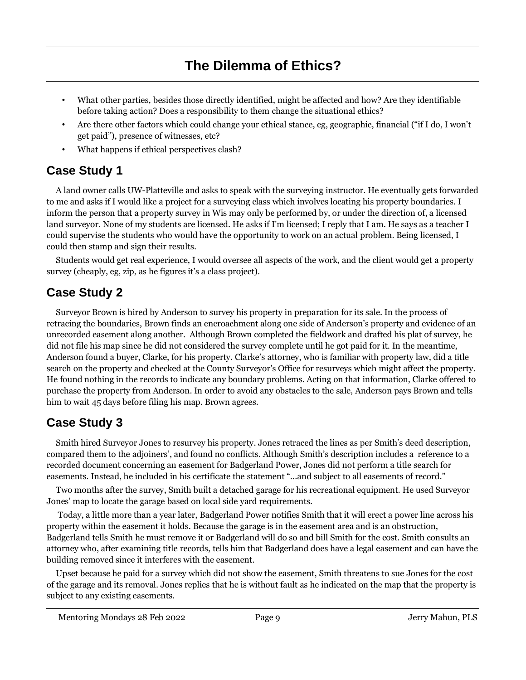- What other parties, besides those directly identified, might be affected and how? Are they identifiable before taking action? Does a responsibility to them change the situational ethics?
- Are there other factors which could change your ethical stance, eg, geographic, financial ("if I do, I won't get paid"), presence of witnesses, etc?
- What happens if ethical perspectives clash?

#### **Case Study 1**

A land owner calls UW-Platteville and asks to speak with the surveying instructor. He eventually gets forwarded to me and asks if I would like a project for a surveying class which involves locating his property boundaries. I inform the person that a property survey in Wis may only be performed by, or under the direction of, a licensed land surveyor. None of my students are licensed. He asks if I'm licensed; I reply that I am. He says as a teacher I could supervise the students who would have the opportunity to work on an actual problem. Being licensed, I could then stamp and sign their results.

Students would get real experience, I would oversee all aspects of the work, and the client would get a property survey (cheaply, eg, zip, as he figures it's a class project).

#### **Case Study 2**

Surveyor Brown is hired by Anderson to survey his property in preparation for its sale. In the process of retracing the boundaries, Brown finds an encroachment along one side of Anderson's property and evidence of an unrecorded easement along another. Although Brown completed the fieldwork and drafted his plat of survey, he did not file his map since he did not considered the survey complete until he got paid for it. In the meantime, Anderson found a buyer, Clarke, for his property. Clarke's attorney, who is familiar with property law, did a title search on the property and checked at the County Surveyor's Office for resurveys which might affect the property. He found nothing in the records to indicate any boundary problems. Acting on that information, Clarke offered to purchase the property from Anderson. In order to avoid any obstacles to the sale, Anderson pays Brown and tells him to wait 45 days before filing his map. Brown agrees.

#### **Case Study 3**

Smith hired Surveyor Jones to resurvey his property. Jones retraced the lines as per Smith's deed description, compared them to the adjoiners', and found no conflicts. Although Smith's description includes a reference to a recorded document concerning an easement for Badgerland Power, Jones did not perform a title search for easements. Instead, he included in his certificate the statement "...and subject to all easements of record."

Two months after the survey, Smith built a detached garage for his recreational equipment. He used Surveyor Jones' map to locate the garage based on local side yard requirements.

 Today, a little more than a year later, Badgerland Power notifies Smith that it will erect a power line across his property within the easement it holds. Because the garage is in the easement area and is an obstruction, Badgerland tells Smith he must remove it or Badgerland will do so and bill Smith for the cost. Smith consults an attorney who, after examining title records, tells him that Badgerland does have a legal easement and can have the building removed since it interferes with the easement.

Upset because he paid for a survey which did not show the easement, Smith threatens to sue Jones for the cost of the garage and its removal. Jones replies that he is without fault as he indicated on the map that the property is subject to any existing easements.